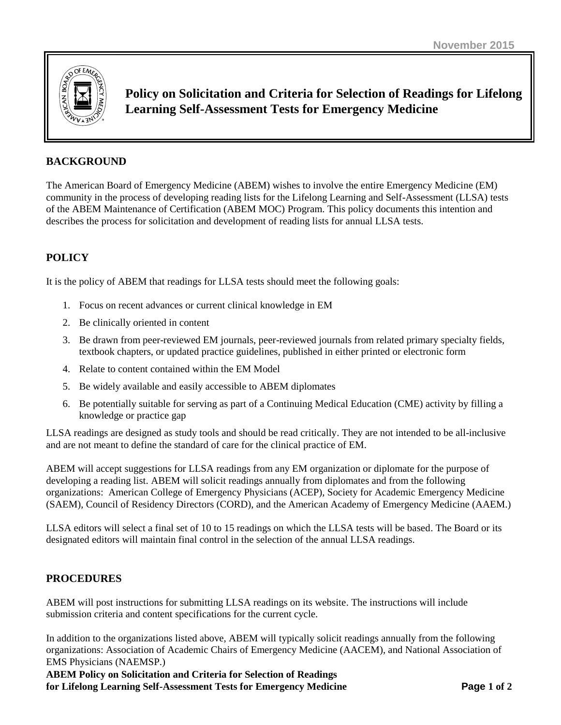

**Policy on Solicitation and Criteria for Selection of Readings for Lifelong Learning Self-Assessment Tests for Emergency Medicine**

# **BACKGROUND**

The American Board of Emergency Medicine (ABEM) wishes to involve the entire Emergency Medicine (EM) community in the process of developing reading lists for the Lifelong Learning and Self-Assessment (LLSA) tests of the ABEM Maintenance of Certification (ABEM MOC) Program. This policy documents this intention and describes the process for solicitation and development of reading lists for annual LLSA tests.

# **POLICY**

It is the policy of ABEM that readings for LLSA tests should meet the following goals:

- 1. Focus on recent advances or current clinical knowledge in EM
- 2. Be clinically oriented in content
- 3. Be drawn from peer-reviewed EM journals, peer-reviewed journals from related primary specialty fields, textbook chapters, or updated practice guidelines, published in either printed or electronic form
- 4. Relate to content contained within the EM Model
- 5. Be widely available and easily accessible to ABEM diplomates
- 6. Be potentially suitable for serving as part of a Continuing Medical Education (CME) activity by filling a knowledge or practice gap

LLSA readings are designed as study tools and should be read critically. They are not intended to be all-inclusive and are not meant to define the standard of care for the clinical practice of EM.

ABEM will accept suggestions for LLSA readings from any EM organization or diplomate for the purpose of developing a reading list. ABEM will solicit readings annually from diplomates and from the following organizations: American College of Emergency Physicians (ACEP), Society for Academic Emergency Medicine (SAEM), Council of Residency Directors (CORD), and the American Academy of Emergency Medicine (AAEM.)

LLSA editors will select a final set of 10 to 15 readings on which the LLSA tests will be based. The Board or its designated editors will maintain final control in the selection of the annual LLSA readings.

### **PROCEDURES**

ABEM will post instructions for submitting LLSA readings on its website. The instructions will include submission criteria and content specifications for the current cycle.

In addition to the organizations listed above, ABEM will typically solicit readings annually from the following organizations: Association of Academic Chairs of Emergency Medicine (AACEM), and National Association of EMS Physicians (NAEMSP.)

**ABEM Policy on Solicitation and Criteria for Selection of Readings for Lifelong Learning Self-Assessment Tests for Emergency Medicine Page 1 of 2**